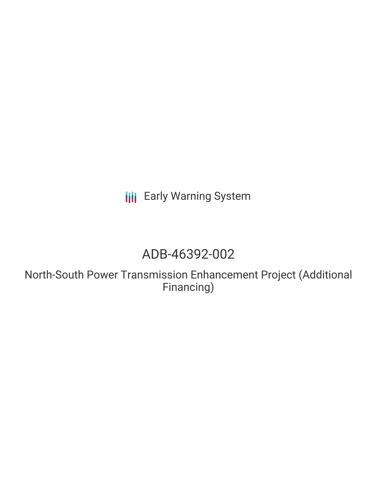**III** Early Warning System

# ADB-46392-002

North-South Power Transmission Enhancement Project (Additional Financing)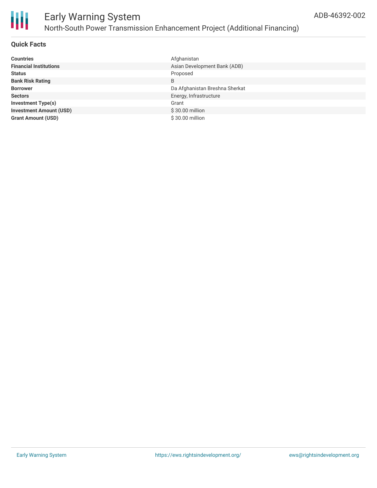

### **Quick Facts**

| <b>Countries</b>               | Afghanistan                    |
|--------------------------------|--------------------------------|
| <b>Financial Institutions</b>  | Asian Development Bank (ADB)   |
| <b>Status</b>                  | Proposed                       |
| <b>Bank Risk Rating</b>        | B                              |
| <b>Borrower</b>                | Da Afghanistan Breshna Sherkat |
| <b>Sectors</b>                 | Energy, Infrastructure         |
| <b>Investment Type(s)</b>      | Grant                          |
| <b>Investment Amount (USD)</b> | \$30.00 million                |
| <b>Grant Amount (USD)</b>      | $$30.00$ million               |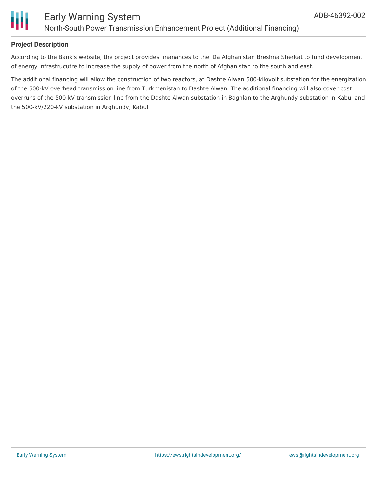

### **Project Description**

According to the Bank's website, the project provides finanances to the Da Afghanistan Breshna Sherkat to fund development of energy infrastrucutre to increase the supply of power from the north of Afghanistan to the south and east.

The additional financing will allow the construction of two reactors, at Dashte Alwan 500-kilovolt substation for the energization of the 500-kV overhead transmission line from Turkmenistan to Dashte Alwan. The additional financing will also cover cost overruns of the 500-kV transmission line from the Dashte Alwan substation in Baghlan to the Arghundy substation in Kabul and the 500-kV/220-kV substation in Arghundy, Kabul.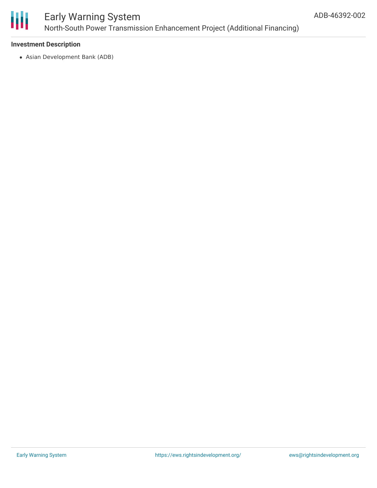

## Early Warning System North-South Power Transmission Enhancement Project (Additional Financing)

### **Investment Description**

Asian Development Bank (ADB)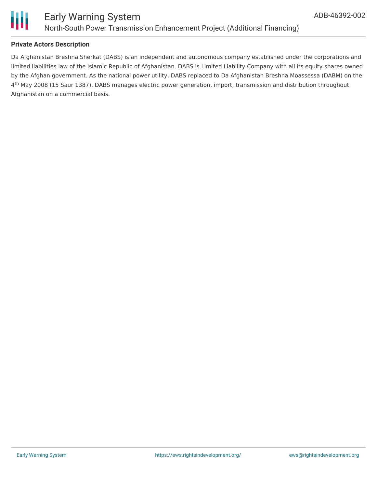

### **Private Actors Description**

Da Afghanistan Breshna Sherkat (DABS) is an independent and autonomous company established under the corporations and limited liabilities law of the Islamic Republic of Afghanistan. DABS is Limited Liability Company with all its equity shares owned by the Afghan government. As the national power utility, DABS replaced to Da Afghanistan Breshna Moassessa (DABM) on the  $4<sup>th</sup>$  May 2008 (15 Saur 1387). DABS manages electric power generation, import, transmission and distribution throughout Afghanistan on a commercial basis.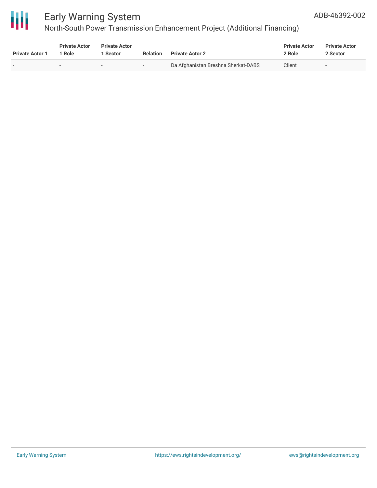

## Early Warning System

North-South Power Transmission Enhancement Project (Additional Financing)

| <b>Private Actor 1</b>   | <b>Private Actor</b><br><sup>1</sup> Role | <b>Private Actor</b><br>Sector | <b>Relation</b> | <b>Private Actor 2</b>              | <b>Private Actor</b><br>2 Role | <b>Private Actor</b><br>2 Sector |
|--------------------------|-------------------------------------------|--------------------------------|-----------------|-------------------------------------|--------------------------------|----------------------------------|
| $\overline{\phantom{0}}$ | $\,$                                      | $\overline{\phantom{0}}$       | $-$             | Da Afghanistan Breshna Sherkat-DABS | Client                         | $\overline{\phantom{0}}$         |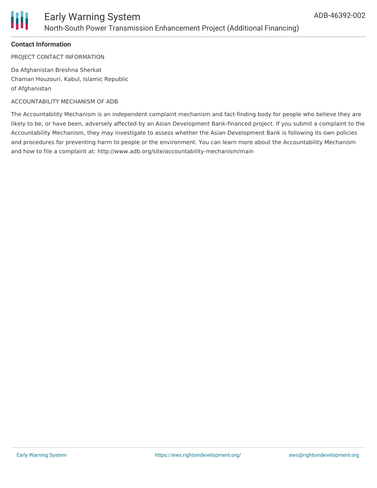

### **Contact Information**

PROJECT CONTACT INFORMATION

Da Afghanistan Breshna Sherkat Chaman Houzouri, Kabul, Islamic Republic of Afghanistan

#### ACCOUNTABILITY MECHANISM OF ADB

The Accountability Mechanism is an independent complaint mechanism and fact-finding body for people who believe they are likely to be, or have been, adversely affected by an Asian Development Bank-financed project. If you submit a complaint to the Accountability Mechanism, they may investigate to assess whether the Asian Development Bank is following its own policies and procedures for preventing harm to people or the environment. You can learn more about the Accountability Mechanism and how to file a complaint at: http://www.adb.org/site/accountability-mechanism/main